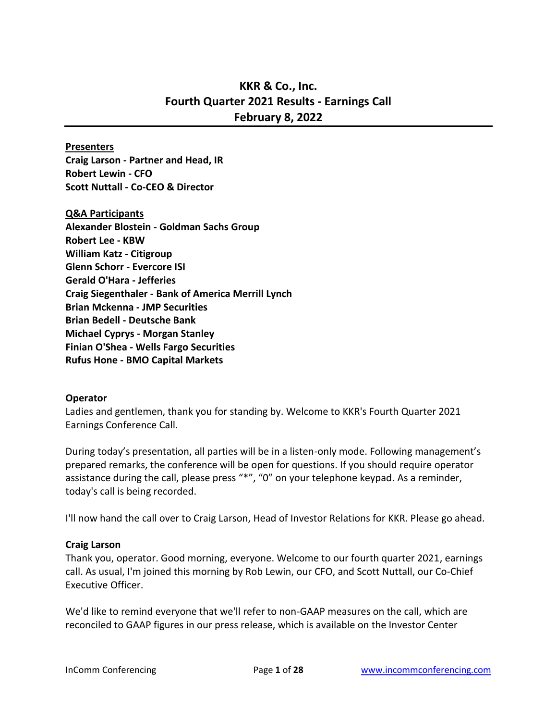# **KKR & Co., Inc. Fourth Quarter 2021 Results - Earnings Call February 8, 2022**

#### **Presenters**

**Craig Larson - Partner and Head, IR Robert Lewin - CFO Scott Nuttall - Co-CEO & Director**

#### **Q&A Participants**

**Alexander Blostein - Goldman Sachs Group Robert Lee - KBW William Katz - Citigroup Glenn Schorr - Evercore ISI Gerald O'Hara - Jefferies Craig Siegenthaler - Bank of America Merrill Lynch Brian Mckenna - JMP Securities Brian Bedell - Deutsche Bank Michael Cyprys - Morgan Stanley Finian O'Shea - Wells Fargo Securities Rufus Hone - BMO Capital Markets**

## **Operator**

Ladies and gentlemen, thank you for standing by. Welcome to KKR's Fourth Quarter 2021 Earnings Conference Call.

During today's presentation, all parties will be in a listen-only mode. Following management's prepared remarks, the conference will be open for questions. If you should require operator assistance during the call, please press "\*", "0" on your telephone keypad. As a reminder, today's call is being recorded.

I'll now hand the call over to Craig Larson, Head of Investor Relations for KKR. Please go ahead.

## **Craig Larson**

Thank you, operator. Good morning, everyone. Welcome to our fourth quarter 2021, earnings call. As usual, I'm joined this morning by Rob Lewin, our CFO, and Scott Nuttall, our Co-Chief Executive Officer.

We'd like to remind everyone that we'll refer to non-GAAP measures on the call, which are reconciled to GAAP figures in our press release, which is available on the Investor Center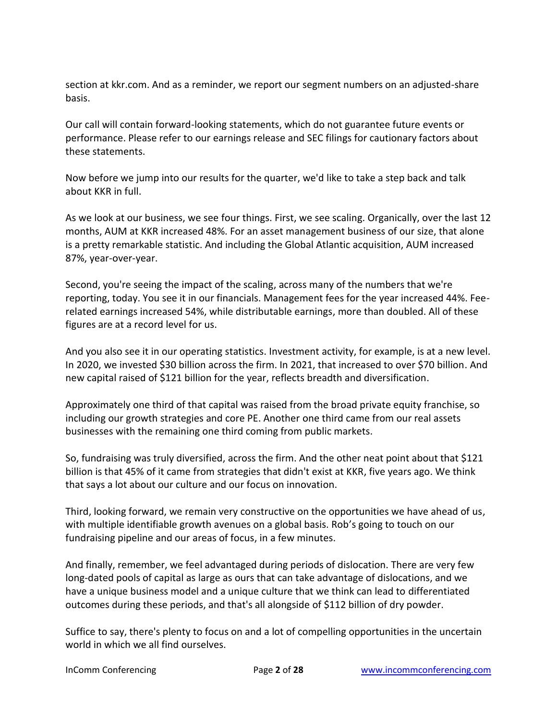section at kkr.com. And as a reminder, we report our segment numbers on an adjusted-share basis.

Our call will contain forward-looking statements, which do not guarantee future events or performance. Please refer to our earnings release and SEC filings for cautionary factors about these statements.

Now before we jump into our results for the quarter, we'd like to take a step back and talk about KKR in full.

As we look at our business, we see four things. First, we see scaling. Organically, over the last 12 months, AUM at KKR increased 48%. For an asset management business of our size, that alone is a pretty remarkable statistic. And including the Global Atlantic acquisition, AUM increased 87%, year-over-year.

Second, you're seeing the impact of the scaling, across many of the numbers that we're reporting, today. You see it in our financials. Management fees for the year increased 44%. Feerelated earnings increased 54%, while distributable earnings, more than doubled. All of these figures are at a record level for us.

And you also see it in our operating statistics. Investment activity, for example, is at a new level. In 2020, we invested \$30 billion across the firm. In 2021, that increased to over \$70 billion. And new capital raised of \$121 billion for the year, reflects breadth and diversification.

Approximately one third of that capital was raised from the broad private equity franchise, so including our growth strategies and core PE. Another one third came from our real assets businesses with the remaining one third coming from public markets.

So, fundraising was truly diversified, across the firm. And the other neat point about that \$121 billion is that 45% of it came from strategies that didn't exist at KKR, five years ago. We think that says a lot about our culture and our focus on innovation.

Third, looking forward, we remain very constructive on the opportunities we have ahead of us, with multiple identifiable growth avenues on a global basis. Rob's going to touch on our fundraising pipeline and our areas of focus, in a few minutes.

And finally, remember, we feel advantaged during periods of dislocation. There are very few long-dated pools of capital as large as ours that can take advantage of dislocations, and we have a unique business model and a unique culture that we think can lead to differentiated outcomes during these periods, and that's all alongside of \$112 billion of dry powder.

Suffice to say, there's plenty to focus on and a lot of compelling opportunities in the uncertain world in which we all find ourselves.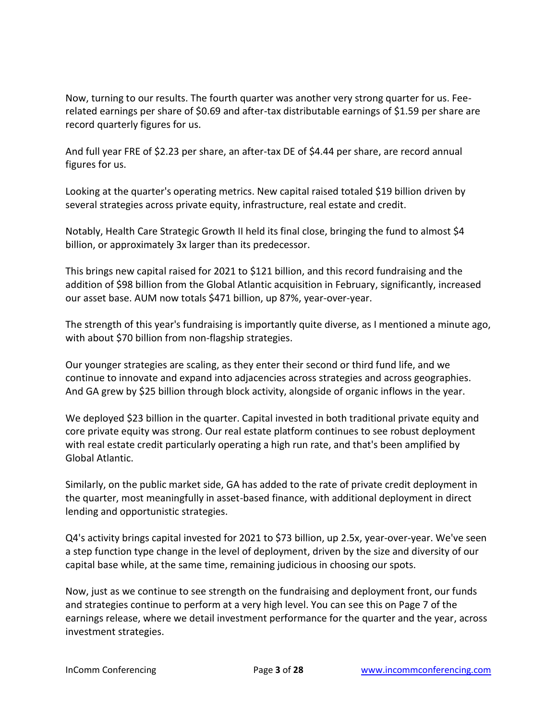Now, turning to our results. The fourth quarter was another very strong quarter for us. Feerelated earnings per share of \$0.69 and after-tax distributable earnings of \$1.59 per share are record quarterly figures for us.

And full year FRE of \$2.23 per share, an after-tax DE of \$4.44 per share, are record annual figures for us.

Looking at the quarter's operating metrics. New capital raised totaled \$19 billion driven by several strategies across private equity, infrastructure, real estate and credit.

Notably, Health Care Strategic Growth II held its final close, bringing the fund to almost \$4 billion, or approximately 3x larger than its predecessor.

This brings new capital raised for 2021 to \$121 billion, and this record fundraising and the addition of \$98 billion from the Global Atlantic acquisition in February, significantly, increased our asset base. AUM now totals \$471 billion, up 87%, year-over-year.

The strength of this year's fundraising is importantly quite diverse, as I mentioned a minute ago, with about \$70 billion from non-flagship strategies.

Our younger strategies are scaling, as they enter their second or third fund life, and we continue to innovate and expand into adjacencies across strategies and across geographies. And GA grew by \$25 billion through block activity, alongside of organic inflows in the year.

We deployed \$23 billion in the quarter. Capital invested in both traditional private equity and core private equity was strong. Our real estate platform continues to see robust deployment with real estate credit particularly operating a high run rate, and that's been amplified by Global Atlantic.

Similarly, on the public market side, GA has added to the rate of private credit deployment in the quarter, most meaningfully in asset-based finance, with additional deployment in direct lending and opportunistic strategies.

Q4's activity brings capital invested for 2021 to \$73 billion, up 2.5x, year-over-year. We've seen a step function type change in the level of deployment, driven by the size and diversity of our capital base while, at the same time, remaining judicious in choosing our spots.

Now, just as we continue to see strength on the fundraising and deployment front, our funds and strategies continue to perform at a very high level. You can see this on Page 7 of the earnings release, where we detail investment performance for the quarter and the year, across investment strategies.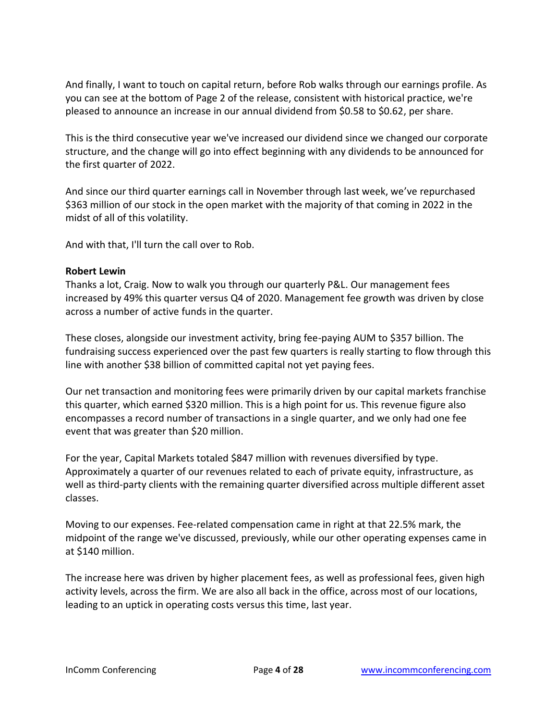And finally, I want to touch on capital return, before Rob walks through our earnings profile. As you can see at the bottom of Page 2 of the release, consistent with historical practice, we're pleased to announce an increase in our annual dividend from \$0.58 to \$0.62, per share.

This is the third consecutive year we've increased our dividend since we changed our corporate structure, and the change will go into effect beginning with any dividends to be announced for the first quarter of 2022.

And since our third quarter earnings call in November through last week, we've repurchased \$363 million of our stock in the open market with the majority of that coming in 2022 in the midst of all of this volatility.

And with that, I'll turn the call over to Rob.

## **Robert Lewin**

Thanks a lot, Craig. Now to walk you through our quarterly P&L. Our management fees increased by 49% this quarter versus Q4 of 2020. Management fee growth was driven by close across a number of active funds in the quarter.

These closes, alongside our investment activity, bring fee-paying AUM to \$357 billion. The fundraising success experienced over the past few quarters is really starting to flow through this line with another \$38 billion of committed capital not yet paying fees.

Our net transaction and monitoring fees were primarily driven by our capital markets franchise this quarter, which earned \$320 million. This is a high point for us. This revenue figure also encompasses a record number of transactions in a single quarter, and we only had one fee event that was greater than \$20 million.

For the year, Capital Markets totaled \$847 million with revenues diversified by type. Approximately a quarter of our revenues related to each of private equity, infrastructure, as well as third-party clients with the remaining quarter diversified across multiple different asset classes.

Moving to our expenses. Fee-related compensation came in right at that 22.5% mark, the midpoint of the range we've discussed, previously, while our other operating expenses came in at \$140 million.

The increase here was driven by higher placement fees, as well as professional fees, given high activity levels, across the firm. We are also all back in the office, across most of our locations, leading to an uptick in operating costs versus this time, last year.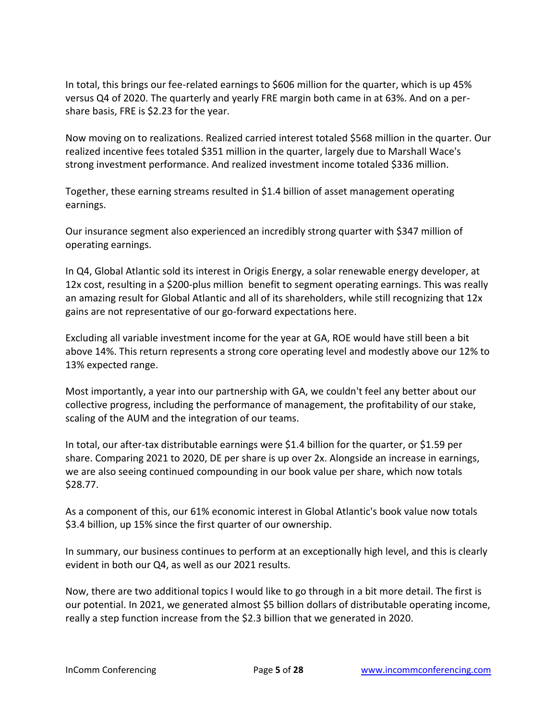In total, this brings our fee-related earnings to \$606 million for the quarter, which is up 45% versus Q4 of 2020. The quarterly and yearly FRE margin both came in at 63%. And on a pershare basis, FRE is \$2.23 for the year.

Now moving on to realizations. Realized carried interest totaled \$568 million in the quarter. Our realized incentive fees totaled \$351 million in the quarter, largely due to Marshall Wace's strong investment performance. And realized investment income totaled \$336 million.

Together, these earning streams resulted in \$1.4 billion of asset management operating earnings.

Our insurance segment also experienced an incredibly strong quarter with \$347 million of operating earnings.

In Q4, Global Atlantic sold its interest in Origis Energy, a solar renewable energy developer, at 12x cost, resulting in a \$200-plus million benefit to segment operating earnings. This was really an amazing result for Global Atlantic and all of its shareholders, while still recognizing that 12x gains are not representative of our go-forward expectations here.

Excluding all variable investment income for the year at GA, ROE would have still been a bit above 14%. This return represents a strong core operating level and modestly above our 12% to 13% expected range.

Most importantly, a year into our partnership with GA, we couldn't feel any better about our collective progress, including the performance of management, the profitability of our stake, scaling of the AUM and the integration of our teams.

In total, our after-tax distributable earnings were \$1.4 billion for the quarter, or \$1.59 per share. Comparing 2021 to 2020, DE per share is up over 2x. Alongside an increase in earnings, we are also seeing continued compounding in our book value per share, which now totals \$28.77.

As a component of this, our 61% economic interest in Global Atlantic's book value now totals \$3.4 billion, up 15% since the first quarter of our ownership.

In summary, our business continues to perform at an exceptionally high level, and this is clearly evident in both our Q4, as well as our 2021 results.

Now, there are two additional topics I would like to go through in a bit more detail. The first is our potential. In 2021, we generated almost \$5 billion dollars of distributable operating income, really a step function increase from the \$2.3 billion that we generated in 2020.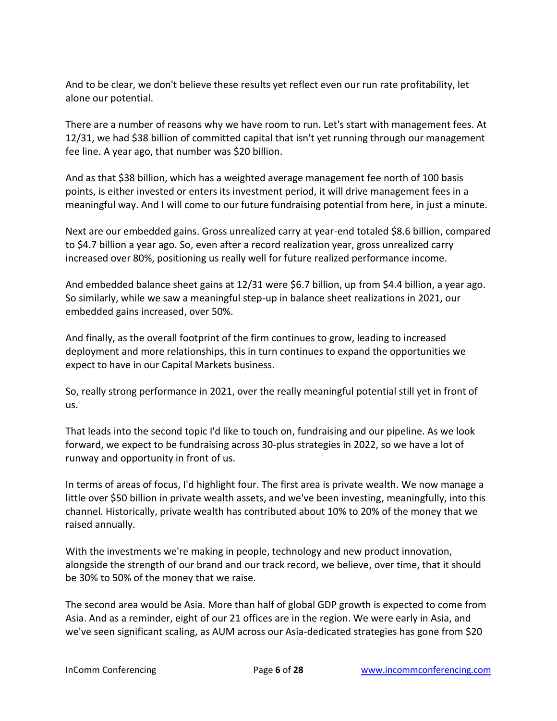And to be clear, we don't believe these results yet reflect even our run rate profitability, let alone our potential.

There are a number of reasons why we have room to run. Let's start with management fees. At 12/31, we had \$38 billion of committed capital that isn't yet running through our management fee line. A year ago, that number was \$20 billion.

And as that \$38 billion, which has a weighted average management fee north of 100 basis points, is either invested or enters its investment period, it will drive management fees in a meaningful way. And I will come to our future fundraising potential from here, in just a minute.

Next are our embedded gains. Gross unrealized carry at year-end totaled \$8.6 billion, compared to \$4.7 billion a year ago. So, even after a record realization year, gross unrealized carry increased over 80%, positioning us really well for future realized performance income.

And embedded balance sheet gains at 12/31 were \$6.7 billion, up from \$4.4 billion, a year ago. So similarly, while we saw a meaningful step-up in balance sheet realizations in 2021, our embedded gains increased, over 50%.

And finally, as the overall footprint of the firm continues to grow, leading to increased deployment and more relationships, this in turn continues to expand the opportunities we expect to have in our Capital Markets business.

So, really strong performance in 2021, over the really meaningful potential still yet in front of us.

That leads into the second topic I'd like to touch on, fundraising and our pipeline. As we look forward, we expect to be fundraising across 30-plus strategies in 2022, so we have a lot of runway and opportunity in front of us.

In terms of areas of focus, I'd highlight four. The first area is private wealth. We now manage a little over \$50 billion in private wealth assets, and we've been investing, meaningfully, into this channel. Historically, private wealth has contributed about 10% to 20% of the money that we raised annually.

With the investments we're making in people, technology and new product innovation, alongside the strength of our brand and our track record, we believe, over time, that it should be 30% to 50% of the money that we raise.

The second area would be Asia. More than half of global GDP growth is expected to come from Asia. And as a reminder, eight of our 21 offices are in the region. We were early in Asia, and we've seen significant scaling, as AUM across our Asia-dedicated strategies has gone from \$20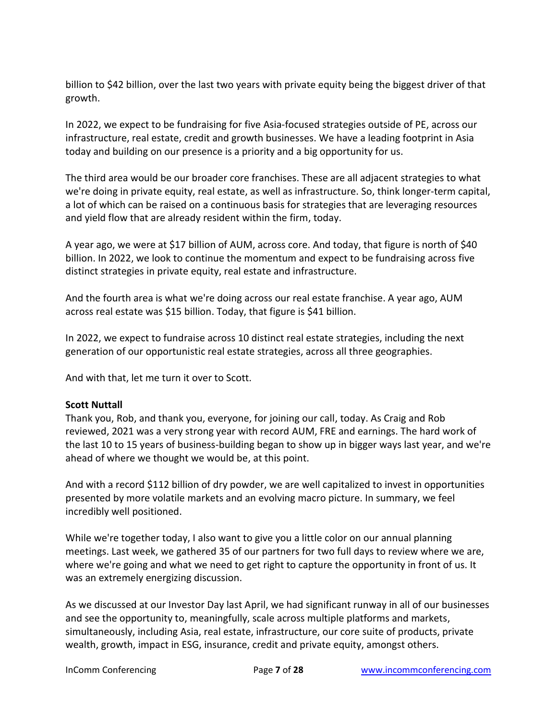billion to \$42 billion, over the last two years with private equity being the biggest driver of that growth.

In 2022, we expect to be fundraising for five Asia-focused strategies outside of PE, across our infrastructure, real estate, credit and growth businesses. We have a leading footprint in Asia today and building on our presence is a priority and a big opportunity for us.

The third area would be our broader core franchises. These are all adjacent strategies to what we're doing in private equity, real estate, as well as infrastructure. So, think longer-term capital, a lot of which can be raised on a continuous basis for strategies that are leveraging resources and yield flow that are already resident within the firm, today.

A year ago, we were at \$17 billion of AUM, across core. And today, that figure is north of \$40 billion. In 2022, we look to continue the momentum and expect to be fundraising across five distinct strategies in private equity, real estate and infrastructure.

And the fourth area is what we're doing across our real estate franchise. A year ago, AUM across real estate was \$15 billion. Today, that figure is \$41 billion.

In 2022, we expect to fundraise across 10 distinct real estate strategies, including the next generation of our opportunistic real estate strategies, across all three geographies.

And with that, let me turn it over to Scott.

# **Scott Nuttall**

Thank you, Rob, and thank you, everyone, for joining our call, today. As Craig and Rob reviewed, 2021 was a very strong year with record AUM, FRE and earnings. The hard work of the last 10 to 15 years of business-building began to show up in bigger ways last year, and we're ahead of where we thought we would be, at this point.

And with a record \$112 billion of dry powder, we are well capitalized to invest in opportunities presented by more volatile markets and an evolving macro picture. In summary, we feel incredibly well positioned.

While we're together today, I also want to give you a little color on our annual planning meetings. Last week, we gathered 35 of our partners for two full days to review where we are, where we're going and what we need to get right to capture the opportunity in front of us. It was an extremely energizing discussion.

As we discussed at our Investor Day last April, we had significant runway in all of our businesses and see the opportunity to, meaningfully, scale across multiple platforms and markets, simultaneously, including Asia, real estate, infrastructure, our core suite of products, private wealth, growth, impact in ESG, insurance, credit and private equity, amongst others.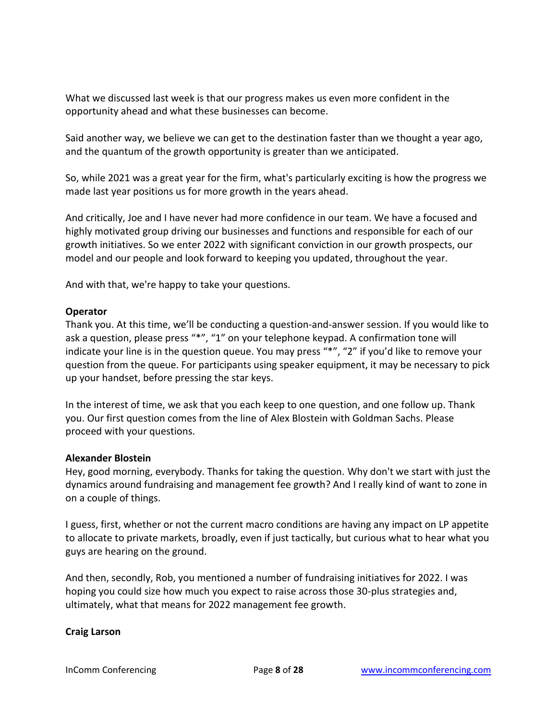What we discussed last week is that our progress makes us even more confident in the opportunity ahead and what these businesses can become.

Said another way, we believe we can get to the destination faster than we thought a year ago, and the quantum of the growth opportunity is greater than we anticipated.

So, while 2021 was a great year for the firm, what's particularly exciting is how the progress we made last year positions us for more growth in the years ahead.

And critically, Joe and I have never had more confidence in our team. We have a focused and highly motivated group driving our businesses and functions and responsible for each of our growth initiatives. So we enter 2022 with significant conviction in our growth prospects, our model and our people and look forward to keeping you updated, throughout the year.

And with that, we're happy to take your questions.

## **Operator**

Thank you. At this time, we'll be conducting a question-and-answer session. If you would like to ask a question, please press "\*", "1" on your telephone keypad. A confirmation tone will indicate your line is in the question queue. You may press "\*", "2" if you'd like to remove your question from the queue. For participants using speaker equipment, it may be necessary to pick up your handset, before pressing the star keys.

In the interest of time, we ask that you each keep to one question, and one follow up. Thank you. Our first question comes from the line of Alex Blostein with Goldman Sachs. Please proceed with your questions.

## **Alexander Blostein**

Hey, good morning, everybody. Thanks for taking the question. Why don't we start with just the dynamics around fundraising and management fee growth? And I really kind of want to zone in on a couple of things.

I guess, first, whether or not the current macro conditions are having any impact on LP appetite to allocate to private markets, broadly, even if just tactically, but curious what to hear what you guys are hearing on the ground.

And then, secondly, Rob, you mentioned a number of fundraising initiatives for 2022. I was hoping you could size how much you expect to raise across those 30-plus strategies and, ultimately, what that means for 2022 management fee growth.

## **Craig Larson**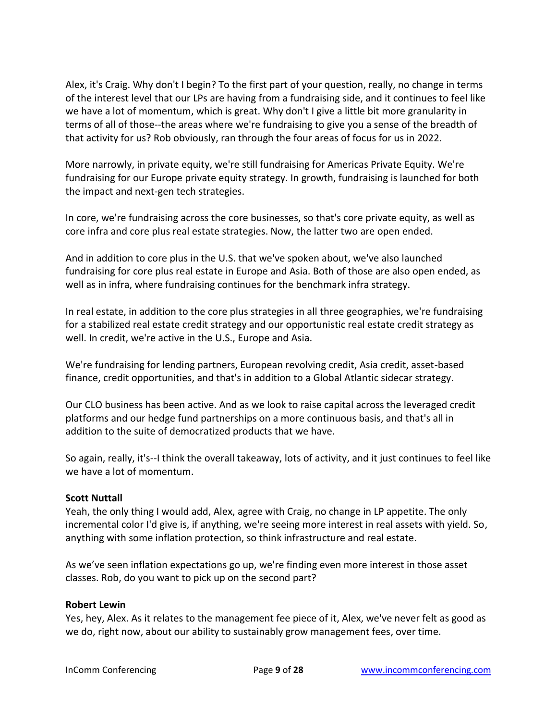Alex, it's Craig. Why don't I begin? To the first part of your question, really, no change in terms of the interest level that our LPs are having from a fundraising side, and it continues to feel like we have a lot of momentum, which is great. Why don't I give a little bit more granularity in terms of all of those--the areas where we're fundraising to give you a sense of the breadth of that activity for us? Rob obviously, ran through the four areas of focus for us in 2022.

More narrowly, in private equity, we're still fundraising for Americas Private Equity. We're fundraising for our Europe private equity strategy. In growth, fundraising is launched for both the impact and next-gen tech strategies.

In core, we're fundraising across the core businesses, so that's core private equity, as well as core infra and core plus real estate strategies. Now, the latter two are open ended.

And in addition to core plus in the U.S. that we've spoken about, we've also launched fundraising for core plus real estate in Europe and Asia. Both of those are also open ended, as well as in infra, where fundraising continues for the benchmark infra strategy.

In real estate, in addition to the core plus strategies in all three geographies, we're fundraising for a stabilized real estate credit strategy and our opportunistic real estate credit strategy as well. In credit, we're active in the U.S., Europe and Asia.

We're fundraising for lending partners, European revolving credit, Asia credit, asset-based finance, credit opportunities, and that's in addition to a Global Atlantic sidecar strategy.

Our CLO business has been active. And as we look to raise capital across the leveraged credit platforms and our hedge fund partnerships on a more continuous basis, and that's all in addition to the suite of democratized products that we have.

So again, really, it's--I think the overall takeaway, lots of activity, and it just continues to feel like we have a lot of momentum.

# **Scott Nuttall**

Yeah, the only thing I would add, Alex, agree with Craig, no change in LP appetite. The only incremental color I'd give is, if anything, we're seeing more interest in real assets with yield. So, anything with some inflation protection, so think infrastructure and real estate.

As we've seen inflation expectations go up, we're finding even more interest in those asset classes. Rob, do you want to pick up on the second part?

## **Robert Lewin**

Yes, hey, Alex. As it relates to the management fee piece of it, Alex, we've never felt as good as we do, right now, about our ability to sustainably grow management fees, over time.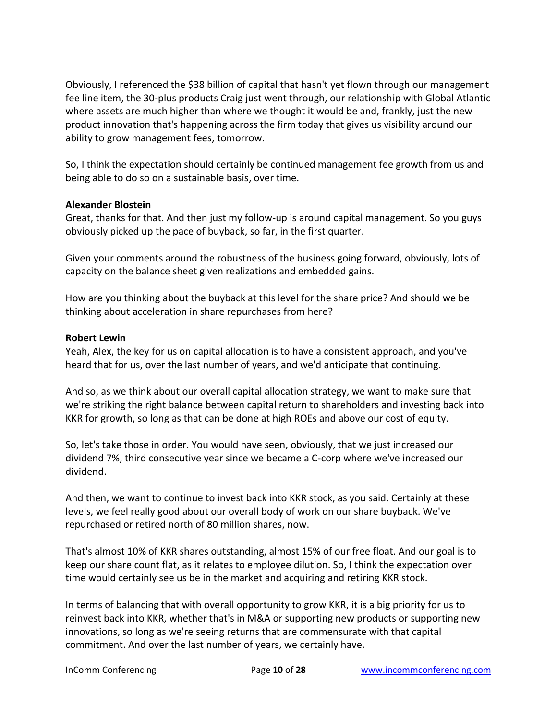Obviously, I referenced the \$38 billion of capital that hasn't yet flown through our management fee line item, the 30-plus products Craig just went through, our relationship with Global Atlantic where assets are much higher than where we thought it would be and, frankly, just the new product innovation that's happening across the firm today that gives us visibility around our ability to grow management fees, tomorrow.

So, I think the expectation should certainly be continued management fee growth from us and being able to do so on a sustainable basis, over time.

## **Alexander Blostein**

Great, thanks for that. And then just my follow-up is around capital management. So you guys obviously picked up the pace of buyback, so far, in the first quarter.

Given your comments around the robustness of the business going forward, obviously, lots of capacity on the balance sheet given realizations and embedded gains.

How are you thinking about the buyback at this level for the share price? And should we be thinking about acceleration in share repurchases from here?

## **Robert Lewin**

Yeah, Alex, the key for us on capital allocation is to have a consistent approach, and you've heard that for us, over the last number of years, and we'd anticipate that continuing.

And so, as we think about our overall capital allocation strategy, we want to make sure that we're striking the right balance between capital return to shareholders and investing back into KKR for growth, so long as that can be done at high ROEs and above our cost of equity.

So, let's take those in order. You would have seen, obviously, that we just increased our dividend 7%, third consecutive year since we became a C-corp where we've increased our dividend.

And then, we want to continue to invest back into KKR stock, as you said. Certainly at these levels, we feel really good about our overall body of work on our share buyback. We've repurchased or retired north of 80 million shares, now.

That's almost 10% of KKR shares outstanding, almost 15% of our free float. And our goal is to keep our share count flat, as it relates to employee dilution. So, I think the expectation over time would certainly see us be in the market and acquiring and retiring KKR stock.

In terms of balancing that with overall opportunity to grow KKR, it is a big priority for us to reinvest back into KKR, whether that's in M&A or supporting new products or supporting new innovations, so long as we're seeing returns that are commensurate with that capital commitment. And over the last number of years, we certainly have.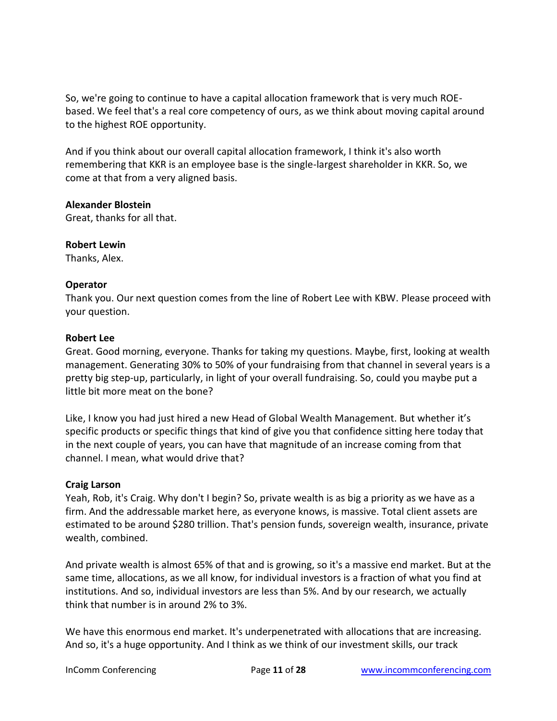So, we're going to continue to have a capital allocation framework that is very much ROEbased. We feel that's a real core competency of ours, as we think about moving capital around to the highest ROE opportunity.

And if you think about our overall capital allocation framework, I think it's also worth remembering that KKR is an employee base is the single-largest shareholder in KKR. So, we come at that from a very aligned basis.

## **Alexander Blostein**

Great, thanks for all that.

## **Robert Lewin**

Thanks, Alex.

## **Operator**

Thank you. Our next question comes from the line of Robert Lee with KBW. Please proceed with your question.

## **Robert Lee**

Great. Good morning, everyone. Thanks for taking my questions. Maybe, first, looking at wealth management. Generating 30% to 50% of your fundraising from that channel in several years is a pretty big step-up, particularly, in light of your overall fundraising. So, could you maybe put a little bit more meat on the bone?

Like, I know you had just hired a new Head of Global Wealth Management. But whether it's specific products or specific things that kind of give you that confidence sitting here today that in the next couple of years, you can have that magnitude of an increase coming from that channel. I mean, what would drive that?

## **Craig Larson**

Yeah, Rob, it's Craig. Why don't I begin? So, private wealth is as big a priority as we have as a firm. And the addressable market here, as everyone knows, is massive. Total client assets are estimated to be around \$280 trillion. That's pension funds, sovereign wealth, insurance, private wealth, combined.

And private wealth is almost 65% of that and is growing, so it's a massive end market. But at the same time, allocations, as we all know, for individual investors is a fraction of what you find at institutions. And so, individual investors are less than 5%. And by our research, we actually think that number is in around 2% to 3%.

We have this enormous end market. It's underpenetrated with allocations that are increasing. And so, it's a huge opportunity. And I think as we think of our investment skills, our track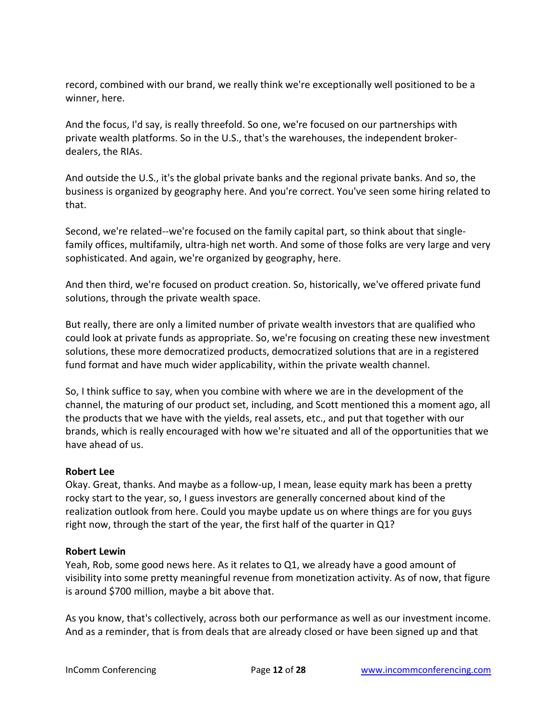record, combined with our brand, we really think we're exceptionally well positioned to be a winner, here.

And the focus, I'd say, is really threefold. So one, we're focused on our partnerships with private wealth platforms. So in the U.S., that's the warehouses, the independent brokerdealers, the RIAs.

And outside the U.S., it's the global private banks and the regional private banks. And so, the business is organized by geography here. And you're correct. You've seen some hiring related to that.

Second, we're related--we're focused on the family capital part, so think about that singlefamily offices, multifamily, ultra-high net worth. And some of those folks are very large and very sophisticated. And again, we're organized by geography, here.

And then third, we're focused on product creation. So, historically, we've offered private fund solutions, through the private wealth space.

But really, there are only a limited number of private wealth investors that are qualified who could look at private funds as appropriate. So, we're focusing on creating these new investment solutions, these more democratized products, democratized solutions that are in a registered fund format and have much wider applicability, within the private wealth channel.

So, I think suffice to say, when you combine with where we are in the development of the channel, the maturing of our product set, including, and Scott mentioned this a moment ago, all the products that we have with the yields, real assets, etc., and put that together with our brands, which is really encouraged with how we're situated and all of the opportunities that we have ahead of us.

# **Robert Lee**

Okay. Great, thanks. And maybe as a follow-up, I mean, lease equity mark has been a pretty rocky start to the year, so, I guess investors are generally concerned about kind of the realization outlook from here. Could you maybe update us on where things are for you guys right now, through the start of the year, the first half of the quarter in Q1?

## **Robert Lewin**

Yeah, Rob, some good news here. As it relates to Q1, we already have a good amount of visibility into some pretty meaningful revenue from monetization activity. As of now, that figure is around \$700 million, maybe a bit above that.

As you know, that's collectively, across both our performance as well as our investment income. And as a reminder, that is from deals that are already closed or have been signed up and that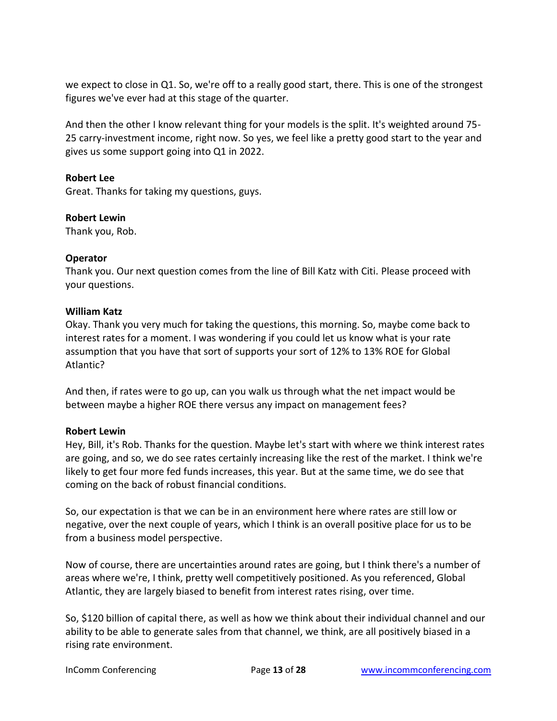we expect to close in Q1. So, we're off to a really good start, there. This is one of the strongest figures we've ever had at this stage of the quarter.

And then the other I know relevant thing for your models is the split. It's weighted around 75- 25 carry-investment income, right now. So yes, we feel like a pretty good start to the year and gives us some support going into Q1 in 2022.

## **Robert Lee**

Great. Thanks for taking my questions, guys.

## **Robert Lewin**

Thank you, Rob.

## **Operator**

Thank you. Our next question comes from the line of Bill Katz with Citi. Please proceed with your questions.

## **William Katz**

Okay. Thank you very much for taking the questions, this morning. So, maybe come back to interest rates for a moment. I was wondering if you could let us know what is your rate assumption that you have that sort of supports your sort of 12% to 13% ROE for Global Atlantic?

And then, if rates were to go up, can you walk us through what the net impact would be between maybe a higher ROE there versus any impact on management fees?

## **Robert Lewin**

Hey, Bill, it's Rob. Thanks for the question. Maybe let's start with where we think interest rates are going, and so, we do see rates certainly increasing like the rest of the market. I think we're likely to get four more fed funds increases, this year. But at the same time, we do see that coming on the back of robust financial conditions.

So, our expectation is that we can be in an environment here where rates are still low or negative, over the next couple of years, which I think is an overall positive place for us to be from a business model perspective.

Now of course, there are uncertainties around rates are going, but I think there's a number of areas where we're, I think, pretty well competitively positioned. As you referenced, Global Atlantic, they are largely biased to benefit from interest rates rising, over time.

So, \$120 billion of capital there, as well as how we think about their individual channel and our ability to be able to generate sales from that channel, we think, are all positively biased in a rising rate environment.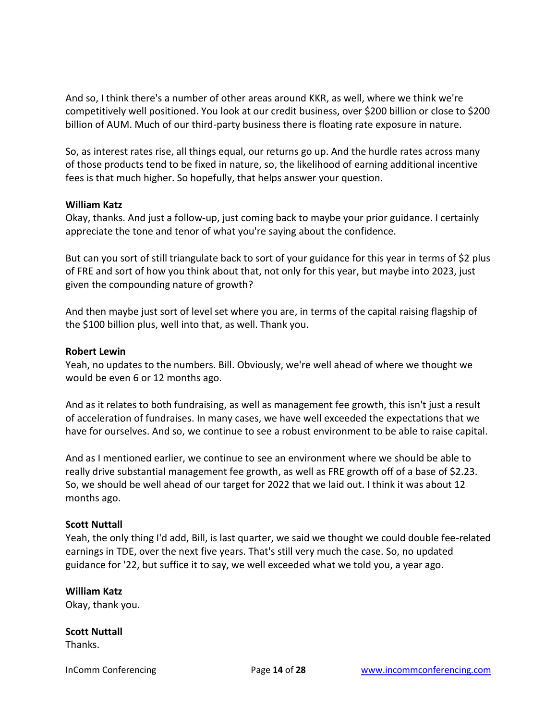And so, I think there's a number of other areas around KKR, as well, where we think we're competitively well positioned. You look at our credit business, over \$200 billion or close to \$200 billion of AUM. Much of our third-party business there is floating rate exposure in nature.

So, as interest rates rise, all things equal, our returns go up. And the hurdle rates across many of those products tend to be fixed in nature, so, the likelihood of earning additional incentive fees is that much higher. So hopefully, that helps answer your question.

## **William Katz**

Okay, thanks. And just a follow-up, just coming back to maybe your prior guidance. I certainly appreciate the tone and tenor of what you're saying about the confidence.

But can you sort of still triangulate back to sort of your guidance for this year in terms of \$2 plus of FRE and sort of how you think about that, not only for this year, but maybe into 2023, just given the compounding nature of growth?

And then maybe just sort of level set where you are, in terms of the capital raising flagship of the \$100 billion plus, well into that, as well. Thank you.

## **Robert Lewin**

Yeah, no updates to the numbers. Bill. Obviously, we're well ahead of where we thought we would be even 6 or 12 months ago.

And as it relates to both fundraising, as well as management fee growth, this isn't just a result of acceleration of fundraises. In many cases, we have well exceeded the expectations that we have for ourselves. And so, we continue to see a robust environment to be able to raise capital.

And as I mentioned earlier, we continue to see an environment where we should be able to really drive substantial management fee growth, as well as FRE growth off of a base of \$2.23. So, we should be well ahead of our target for 2022 that we laid out. I think it was about 12 months ago.

# **Scott Nuttall**

Yeah, the only thing I'd add, Bill, is last quarter, we said we thought we could double fee-related earnings in TDE, over the next five years. That's still very much the case. So, no updated guidance for '22, but suffice it to say, we well exceeded what we told you, a year ago.

# **William Katz**

Okay, thank you.

# **Scott Nuttall**

Thanks.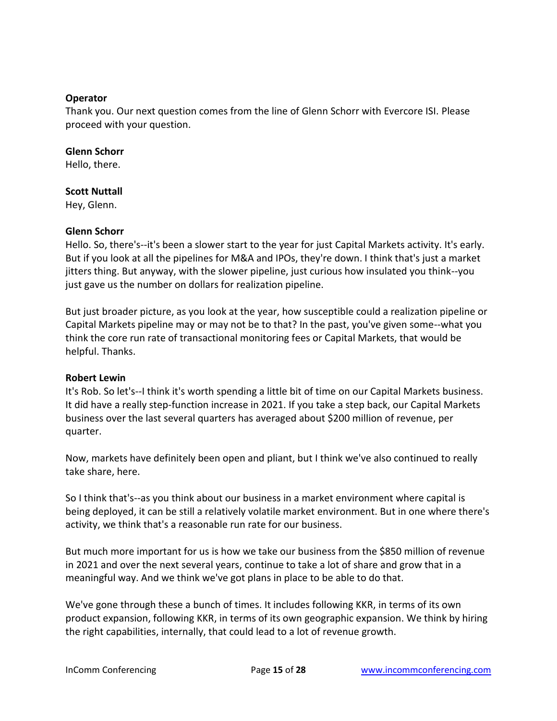## **Operator**

Thank you. Our next question comes from the line of Glenn Schorr with Evercore ISI. Please proceed with your question.

## **Glenn Schorr**

Hello, there.

## **Scott Nuttall**

Hey, Glenn.

## **Glenn Schorr**

Hello. So, there's--it's been a slower start to the year for just Capital Markets activity. It's early. But if you look at all the pipelines for M&A and IPOs, they're down. I think that's just a market jitters thing. But anyway, with the slower pipeline, just curious how insulated you think--you just gave us the number on dollars for realization pipeline.

But just broader picture, as you look at the year, how susceptible could a realization pipeline or Capital Markets pipeline may or may not be to that? In the past, you've given some--what you think the core run rate of transactional monitoring fees or Capital Markets, that would be helpful. Thanks.

## **Robert Lewin**

It's Rob. So let's--I think it's worth spending a little bit of time on our Capital Markets business. It did have a really step-function increase in 2021. If you take a step back, our Capital Markets business over the last several quarters has averaged about \$200 million of revenue, per quarter.

Now, markets have definitely been open and pliant, but I think we've also continued to really take share, here.

So I think that's--as you think about our business in a market environment where capital is being deployed, it can be still a relatively volatile market environment. But in one where there's activity, we think that's a reasonable run rate for our business.

But much more important for us is how we take our business from the \$850 million of revenue in 2021 and over the next several years, continue to take a lot of share and grow that in a meaningful way. And we think we've got plans in place to be able to do that.

We've gone through these a bunch of times. It includes following KKR, in terms of its own product expansion, following KKR, in terms of its own geographic expansion. We think by hiring the right capabilities, internally, that could lead to a lot of revenue growth.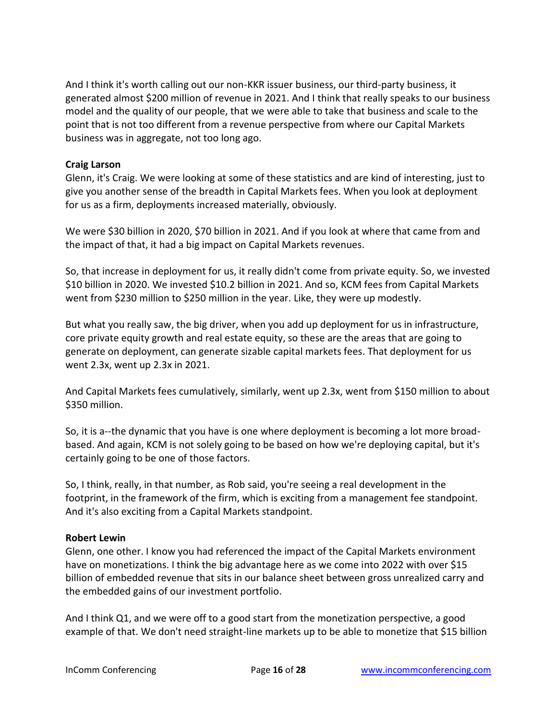And I think it's worth calling out our non-KKR issuer business, our third-party business, it generated almost \$200 million of revenue in 2021. And I think that really speaks to our business model and the quality of our people, that we were able to take that business and scale to the point that is not too different from a revenue perspective from where our Capital Markets business was in aggregate, not too long ago.

# **Craig Larson**

Glenn, it's Craig. We were looking at some of these statistics and are kind of interesting, just to give you another sense of the breadth in Capital Markets fees. When you look at deployment for us as a firm, deployments increased materially, obviously.

We were \$30 billion in 2020, \$70 billion in 2021. And if you look at where that came from and the impact of that, it had a big impact on Capital Markets revenues.

So, that increase in deployment for us, it really didn't come from private equity. So, we invested \$10 billion in 2020. We invested \$10.2 billion in 2021. And so, KCM fees from Capital Markets went from \$230 million to \$250 million in the year. Like, they were up modestly.

But what you really saw, the big driver, when you add up deployment for us in infrastructure, core private equity growth and real estate equity, so these are the areas that are going to generate on deployment, can generate sizable capital markets fees. That deployment for us went 2.3x, went up 2.3x in 2021.

And Capital Markets fees cumulatively, similarly, went up 2.3x, went from \$150 million to about \$350 million.

So, it is a--the dynamic that you have is one where deployment is becoming a lot more broadbased. And again, KCM is not solely going to be based on how we're deploying capital, but it's certainly going to be one of those factors.

So, I think, really, in that number, as Rob said, you're seeing a real development in the footprint, in the framework of the firm, which is exciting from a management fee standpoint. And it's also exciting from a Capital Markets standpoint.

# **Robert Lewin**

Glenn, one other. I know you had referenced the impact of the Capital Markets environment have on monetizations. I think the big advantage here as we come into 2022 with over \$15 billion of embedded revenue that sits in our balance sheet between gross unrealized carry and the embedded gains of our investment portfolio.

And I think Q1, and we were off to a good start from the monetization perspective, a good example of that. We don't need straight-line markets up to be able to monetize that \$15 billion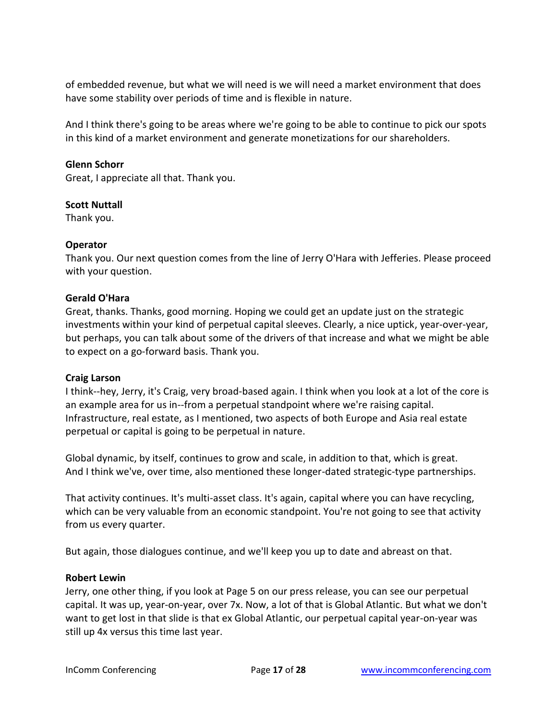of embedded revenue, but what we will need is we will need a market environment that does have some stability over periods of time and is flexible in nature.

And I think there's going to be areas where we're going to be able to continue to pick our spots in this kind of a market environment and generate monetizations for our shareholders.

## **Glenn Schorr**

Great, I appreciate all that. Thank you.

## **Scott Nuttall**

Thank you.

## **Operator**

Thank you. Our next question comes from the line of Jerry O'Hara with Jefferies. Please proceed with your question.

## **Gerald O'Hara**

Great, thanks. Thanks, good morning. Hoping we could get an update just on the strategic investments within your kind of perpetual capital sleeves. Clearly, a nice uptick, year-over-year, but perhaps, you can talk about some of the drivers of that increase and what we might be able to expect on a go-forward basis. Thank you.

## **Craig Larson**

I think--hey, Jerry, it's Craig, very broad-based again. I think when you look at a lot of the core is an example area for us in--from a perpetual standpoint where we're raising capital. Infrastructure, real estate, as I mentioned, two aspects of both Europe and Asia real estate perpetual or capital is going to be perpetual in nature.

Global dynamic, by itself, continues to grow and scale, in addition to that, which is great. And I think we've, over time, also mentioned these longer-dated strategic-type partnerships.

That activity continues. It's multi-asset class. It's again, capital where you can have recycling, which can be very valuable from an economic standpoint. You're not going to see that activity from us every quarter.

But again, those dialogues continue, and we'll keep you up to date and abreast on that.

## **Robert Lewin**

Jerry, one other thing, if you look at Page 5 on our press release, you can see our perpetual capital. It was up, year-on-year, over 7x. Now, a lot of that is Global Atlantic. But what we don't want to get lost in that slide is that ex Global Atlantic, our perpetual capital year-on-year was still up 4x versus this time last year.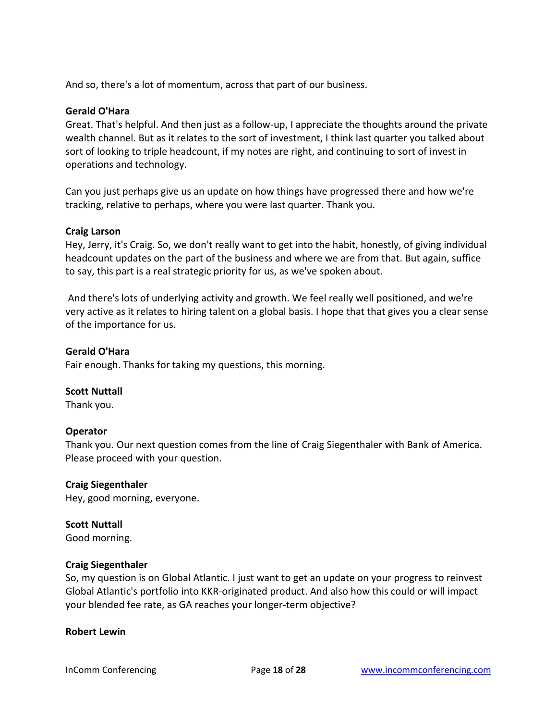And so, there's a lot of momentum, across that part of our business.

## **Gerald O'Hara**

Great. That's helpful. And then just as a follow-up, I appreciate the thoughts around the private wealth channel. But as it relates to the sort of investment, I think last quarter you talked about sort of looking to triple headcount, if my notes are right, and continuing to sort of invest in operations and technology.

Can you just perhaps give us an update on how things have progressed there and how we're tracking, relative to perhaps, where you were last quarter. Thank you.

## **Craig Larson**

Hey, Jerry, it's Craig. So, we don't really want to get into the habit, honestly, of giving individual headcount updates on the part of the business and where we are from that. But again, suffice to say, this part is a real strategic priority for us, as we've spoken about.

And there's lots of underlying activity and growth. We feel really well positioned, and we're very active as it relates to hiring talent on a global basis. I hope that that gives you a clear sense of the importance for us.

## **Gerald O'Hara**

Fair enough. Thanks for taking my questions, this morning.

# **Scott Nuttall**

Thank you.

## **Operator**

Thank you. Our next question comes from the line of Craig Siegenthaler with Bank of America. Please proceed with your question.

## **Craig Siegenthaler**

Hey, good morning, everyone.

## **Scott Nuttall**

Good morning.

## **Craig Siegenthaler**

So, my question is on Global Atlantic. I just want to get an update on your progress to reinvest Global Atlantic's portfolio into KKR-originated product. And also how this could or will impact your blended fee rate, as GA reaches your longer-term objective?

## **Robert Lewin**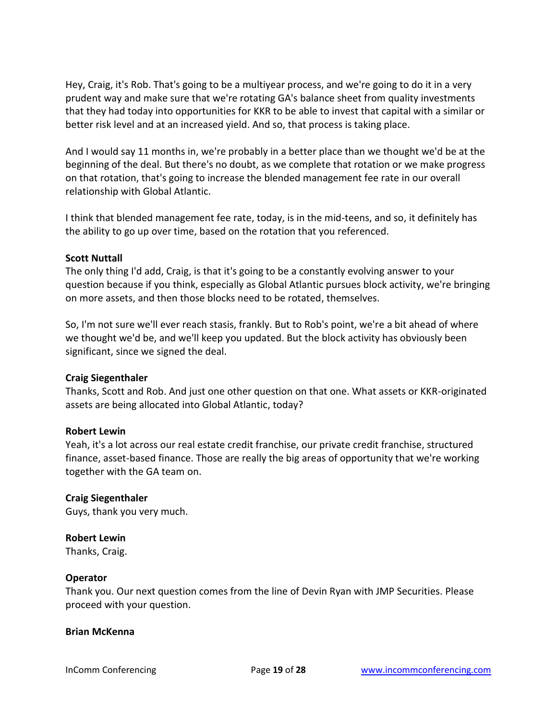Hey, Craig, it's Rob. That's going to be a multiyear process, and we're going to do it in a very prudent way and make sure that we're rotating GA's balance sheet from quality investments that they had today into opportunities for KKR to be able to invest that capital with a similar or better risk level and at an increased yield. And so, that process is taking place.

And I would say 11 months in, we're probably in a better place than we thought we'd be at the beginning of the deal. But there's no doubt, as we complete that rotation or we make progress on that rotation, that's going to increase the blended management fee rate in our overall relationship with Global Atlantic.

I think that blended management fee rate, today, is in the mid-teens, and so, it definitely has the ability to go up over time, based on the rotation that you referenced.

## **Scott Nuttall**

The only thing I'd add, Craig, is that it's going to be a constantly evolving answer to your question because if you think, especially as Global Atlantic pursues block activity, we're bringing on more assets, and then those blocks need to be rotated, themselves.

So, I'm not sure we'll ever reach stasis, frankly. But to Rob's point, we're a bit ahead of where we thought we'd be, and we'll keep you updated. But the block activity has obviously been significant, since we signed the deal.

## **Craig Siegenthaler**

Thanks, Scott and Rob. And just one other question on that one. What assets or KKR-originated assets are being allocated into Global Atlantic, today?

## **Robert Lewin**

Yeah, it's a lot across our real estate credit franchise, our private credit franchise, structured finance, asset-based finance. Those are really the big areas of opportunity that we're working together with the GA team on.

## **Craig Siegenthaler**

Guys, thank you very much.

#### **Robert Lewin**

Thanks, Craig.

#### **Operator**

Thank you. Our next question comes from the line of Devin Ryan with JMP Securities. Please proceed with your question.

#### **Brian McKenna**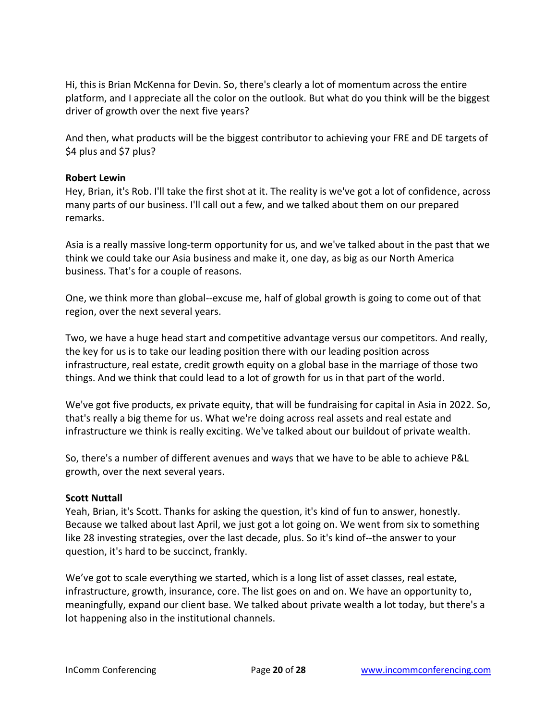Hi, this is Brian McKenna for Devin. So, there's clearly a lot of momentum across the entire platform, and I appreciate all the color on the outlook. But what do you think will be the biggest driver of growth over the next five years?

And then, what products will be the biggest contributor to achieving your FRE and DE targets of \$4 plus and \$7 plus?

## **Robert Lewin**

Hey, Brian, it's Rob. I'll take the first shot at it. The reality is we've got a lot of confidence, across many parts of our business. I'll call out a few, and we talked about them on our prepared remarks.

Asia is a really massive long-term opportunity for us, and we've talked about in the past that we think we could take our Asia business and make it, one day, as big as our North America business. That's for a couple of reasons.

One, we think more than global--excuse me, half of global growth is going to come out of that region, over the next several years.

Two, we have a huge head start and competitive advantage versus our competitors. And really, the key for us is to take our leading position there with our leading position across infrastructure, real estate, credit growth equity on a global base in the marriage of those two things. And we think that could lead to a lot of growth for us in that part of the world.

We've got five products, ex private equity, that will be fundraising for capital in Asia in 2022. So, that's really a big theme for us. What we're doing across real assets and real estate and infrastructure we think is really exciting. We've talked about our buildout of private wealth.

So, there's a number of different avenues and ways that we have to be able to achieve P&L growth, over the next several years.

## **Scott Nuttall**

Yeah, Brian, it's Scott. Thanks for asking the question, it's kind of fun to answer, honestly. Because we talked about last April, we just got a lot going on. We went from six to something like 28 investing strategies, over the last decade, plus. So it's kind of--the answer to your question, it's hard to be succinct, frankly.

We've got to scale everything we started, which is a long list of asset classes, real estate, infrastructure, growth, insurance, core. The list goes on and on. We have an opportunity to, meaningfully, expand our client base. We talked about private wealth a lot today, but there's a lot happening also in the institutional channels.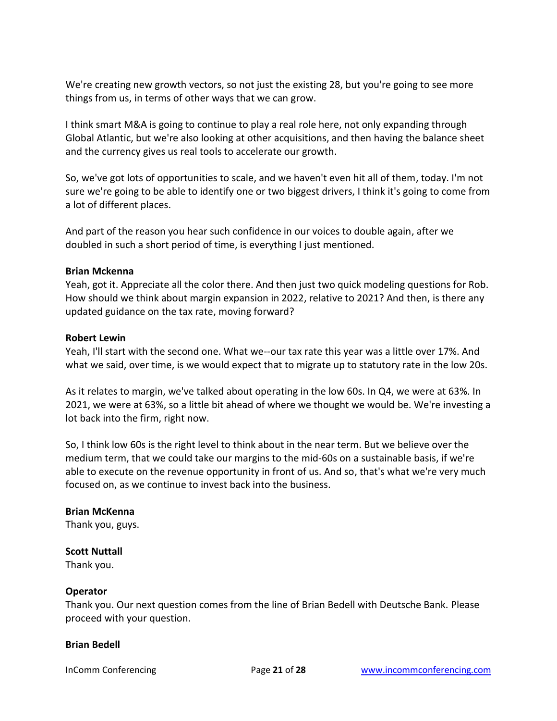We're creating new growth vectors, so not just the existing 28, but you're going to see more things from us, in terms of other ways that we can grow.

I think smart M&A is going to continue to play a real role here, not only expanding through Global Atlantic, but we're also looking at other acquisitions, and then having the balance sheet and the currency gives us real tools to accelerate our growth.

So, we've got lots of opportunities to scale, and we haven't even hit all of them, today. I'm not sure we're going to be able to identify one or two biggest drivers, I think it's going to come from a lot of different places.

And part of the reason you hear such confidence in our voices to double again, after we doubled in such a short period of time, is everything I just mentioned.

## **Brian Mckenna**

Yeah, got it. Appreciate all the color there. And then just two quick modeling questions for Rob. How should we think about margin expansion in 2022, relative to 2021? And then, is there any updated guidance on the tax rate, moving forward?

## **Robert Lewin**

Yeah, I'll start with the second one. What we--our tax rate this year was a little over 17%. And what we said, over time, is we would expect that to migrate up to statutory rate in the low 20s.

As it relates to margin, we've talked about operating in the low 60s. In Q4, we were at 63%. In 2021, we were at 63%, so a little bit ahead of where we thought we would be. We're investing a lot back into the firm, right now.

So, I think low 60s is the right level to think about in the near term. But we believe over the medium term, that we could take our margins to the mid-60s on a sustainable basis, if we're able to execute on the revenue opportunity in front of us. And so, that's what we're very much focused on, as we continue to invest back into the business.

# **Brian McKenna**

Thank you, guys.

# **Scott Nuttall**

Thank you.

## **Operator**

Thank you. Our next question comes from the line of Brian Bedell with Deutsche Bank. Please proceed with your question.

## **Brian Bedell**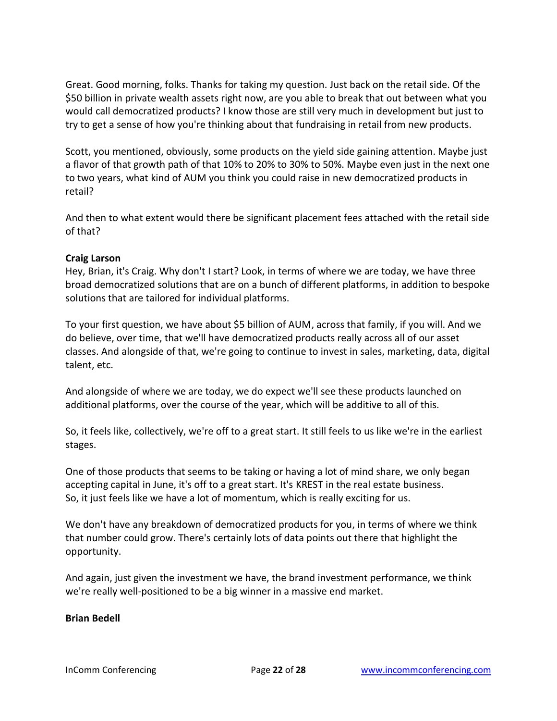Great. Good morning, folks. Thanks for taking my question. Just back on the retail side. Of the \$50 billion in private wealth assets right now, are you able to break that out between what you would call democratized products? I know those are still very much in development but just to try to get a sense of how you're thinking about that fundraising in retail from new products.

Scott, you mentioned, obviously, some products on the yield side gaining attention. Maybe just a flavor of that growth path of that 10% to 20% to 30% to 50%. Maybe even just in the next one to two years, what kind of AUM you think you could raise in new democratized products in retail?

And then to what extent would there be significant placement fees attached with the retail side of that?

## **Craig Larson**

Hey, Brian, it's Craig. Why don't I start? Look, in terms of where we are today, we have three broad democratized solutions that are on a bunch of different platforms, in addition to bespoke solutions that are tailored for individual platforms.

To your first question, we have about \$5 billion of AUM, across that family, if you will. And we do believe, over time, that we'll have democratized products really across all of our asset classes. And alongside of that, we're going to continue to invest in sales, marketing, data, digital talent, etc.

And alongside of where we are today, we do expect we'll see these products launched on additional platforms, over the course of the year, which will be additive to all of this.

So, it feels like, collectively, we're off to a great start. It still feels to us like we're in the earliest stages.

One of those products that seems to be taking or having a lot of mind share, we only began accepting capital in June, it's off to a great start. It's KREST in the real estate business. So, it just feels like we have a lot of momentum, which is really exciting for us.

We don't have any breakdown of democratized products for you, in terms of where we think that number could grow. There's certainly lots of data points out there that highlight the opportunity.

And again, just given the investment we have, the brand investment performance, we think we're really well-positioned to be a big winner in a massive end market.

## **Brian Bedell**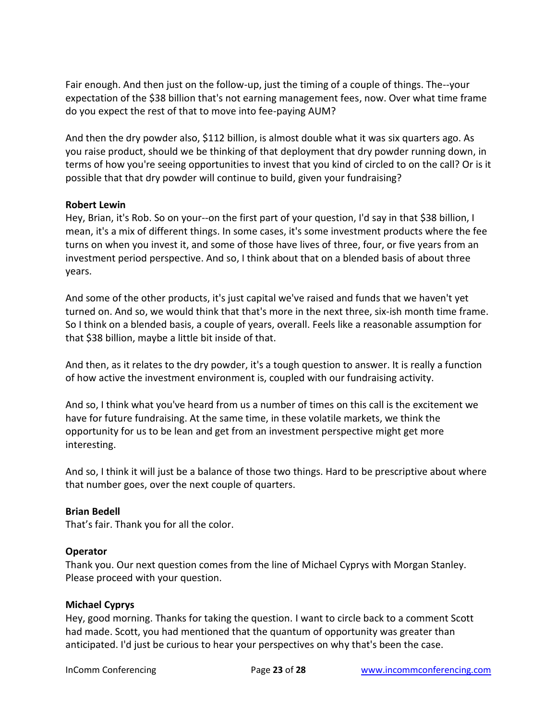Fair enough. And then just on the follow-up, just the timing of a couple of things. The--your expectation of the \$38 billion that's not earning management fees, now. Over what time frame do you expect the rest of that to move into fee-paying AUM?

And then the dry powder also, \$112 billion, is almost double what it was six quarters ago. As you raise product, should we be thinking of that deployment that dry powder running down, in terms of how you're seeing opportunities to invest that you kind of circled to on the call? Or is it possible that that dry powder will continue to build, given your fundraising?

## **Robert Lewin**

Hey, Brian, it's Rob. So on your--on the first part of your question, I'd say in that \$38 billion, I mean, it's a mix of different things. In some cases, it's some investment products where the fee turns on when you invest it, and some of those have lives of three, four, or five years from an investment period perspective. And so, I think about that on a blended basis of about three years.

And some of the other products, it's just capital we've raised and funds that we haven't yet turned on. And so, we would think that that's more in the next three, six-ish month time frame. So I think on a blended basis, a couple of years, overall. Feels like a reasonable assumption for that \$38 billion, maybe a little bit inside of that.

And then, as it relates to the dry powder, it's a tough question to answer. It is really a function of how active the investment environment is, coupled with our fundraising activity.

And so, I think what you've heard from us a number of times on this call is the excitement we have for future fundraising. At the same time, in these volatile markets, we think the opportunity for us to be lean and get from an investment perspective might get more interesting.

And so, I think it will just be a balance of those two things. Hard to be prescriptive about where that number goes, over the next couple of quarters.

## **Brian Bedell**

That's fair. Thank you for all the color.

## **Operator**

Thank you. Our next question comes from the line of Michael Cyprys with Morgan Stanley. Please proceed with your question.

## **Michael Cyprys**

Hey, good morning. Thanks for taking the question. I want to circle back to a comment Scott had made. Scott, you had mentioned that the quantum of opportunity was greater than anticipated. I'd just be curious to hear your perspectives on why that's been the case.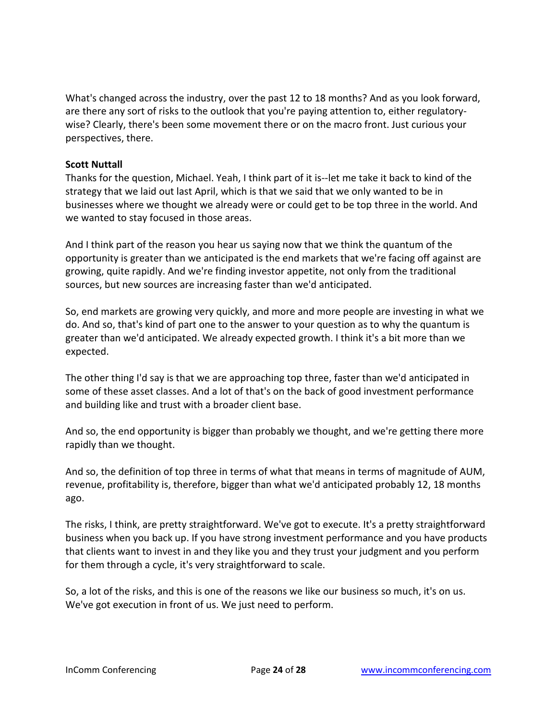What's changed across the industry, over the past 12 to 18 months? And as you look forward, are there any sort of risks to the outlook that you're paying attention to, either regulatorywise? Clearly, there's been some movement there or on the macro front. Just curious your perspectives, there.

## **Scott Nuttall**

Thanks for the question, Michael. Yeah, I think part of it is--let me take it back to kind of the strategy that we laid out last April, which is that we said that we only wanted to be in businesses where we thought we already were or could get to be top three in the world. And we wanted to stay focused in those areas.

And I think part of the reason you hear us saying now that we think the quantum of the opportunity is greater than we anticipated is the end markets that we're facing off against are growing, quite rapidly. And we're finding investor appetite, not only from the traditional sources, but new sources are increasing faster than we'd anticipated.

So, end markets are growing very quickly, and more and more people are investing in what we do. And so, that's kind of part one to the answer to your question as to why the quantum is greater than we'd anticipated. We already expected growth. I think it's a bit more than we expected.

The other thing I'd say is that we are approaching top three, faster than we'd anticipated in some of these asset classes. And a lot of that's on the back of good investment performance and building like and trust with a broader client base.

And so, the end opportunity is bigger than probably we thought, and we're getting there more rapidly than we thought.

And so, the definition of top three in terms of what that means in terms of magnitude of AUM, revenue, profitability is, therefore, bigger than what we'd anticipated probably 12, 18 months ago.

The risks, I think, are pretty straightforward. We've got to execute. It's a pretty straightforward business when you back up. If you have strong investment performance and you have products that clients want to invest in and they like you and they trust your judgment and you perform for them through a cycle, it's very straightforward to scale.

So, a lot of the risks, and this is one of the reasons we like our business so much, it's on us. We've got execution in front of us. We just need to perform.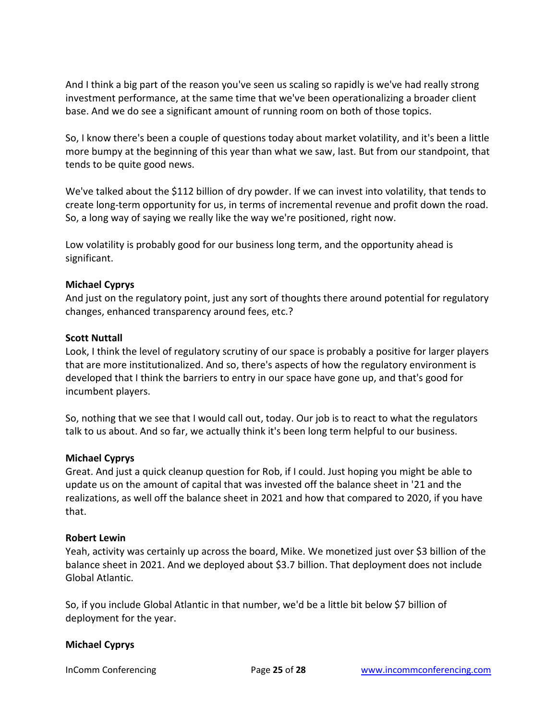And I think a big part of the reason you've seen us scaling so rapidly is we've had really strong investment performance, at the same time that we've been operationalizing a broader client base. And we do see a significant amount of running room on both of those topics.

So, I know there's been a couple of questions today about market volatility, and it's been a little more bumpy at the beginning of this year than what we saw, last. But from our standpoint, that tends to be quite good news.

We've talked about the \$112 billion of dry powder. If we can invest into volatility, that tends to create long-term opportunity for us, in terms of incremental revenue and profit down the road. So, a long way of saying we really like the way we're positioned, right now.

Low volatility is probably good for our business long term, and the opportunity ahead is significant.

# **Michael Cyprys**

And just on the regulatory point, just any sort of thoughts there around potential for regulatory changes, enhanced transparency around fees, etc.?

## **Scott Nuttall**

Look, I think the level of regulatory scrutiny of our space is probably a positive for larger players that are more institutionalized. And so, there's aspects of how the regulatory environment is developed that I think the barriers to entry in our space have gone up, and that's good for incumbent players.

So, nothing that we see that I would call out, today. Our job is to react to what the regulators talk to us about. And so far, we actually think it's been long term helpful to our business.

## **Michael Cyprys**

Great. And just a quick cleanup question for Rob, if I could. Just hoping you might be able to update us on the amount of capital that was invested off the balance sheet in '21 and the realizations, as well off the balance sheet in 2021 and how that compared to 2020, if you have that.

#### **Robert Lewin**

Yeah, activity was certainly up across the board, Mike. We monetized just over \$3 billion of the balance sheet in 2021. And we deployed about \$3.7 billion. That deployment does not include Global Atlantic.

So, if you include Global Atlantic in that number, we'd be a little bit below \$7 billion of deployment for the year.

## **Michael Cyprys**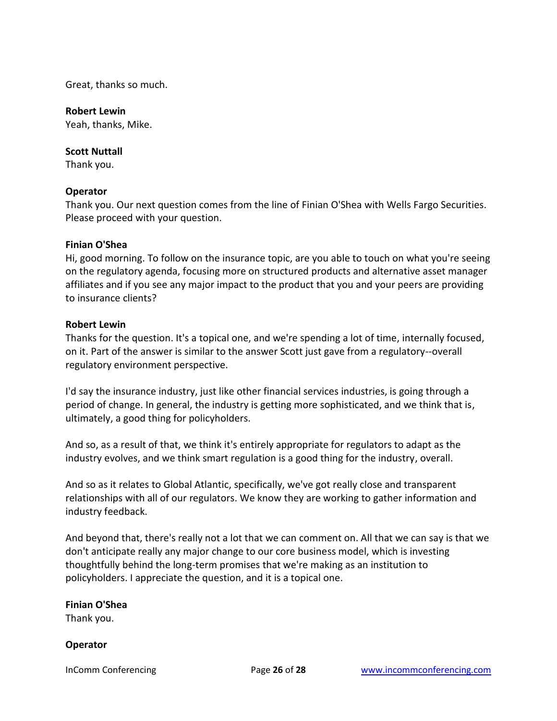Great, thanks so much.

#### **Robert Lewin**

Yeah, thanks, Mike.

#### **Scott Nuttall**

Thank you.

#### **Operator**

Thank you. Our next question comes from the line of Finian O'Shea with Wells Fargo Securities. Please proceed with your question.

#### **Finian O'Shea**

Hi, good morning. To follow on the insurance topic, are you able to touch on what you're seeing on the regulatory agenda, focusing more on structured products and alternative asset manager affiliates and if you see any major impact to the product that you and your peers are providing to insurance clients?

#### **Robert Lewin**

Thanks for the question. It's a topical one, and we're spending a lot of time, internally focused, on it. Part of the answer is similar to the answer Scott just gave from a regulatory--overall regulatory environment perspective.

I'd say the insurance industry, just like other financial services industries, is going through a period of change. In general, the industry is getting more sophisticated, and we think that is, ultimately, a good thing for policyholders.

And so, as a result of that, we think it's entirely appropriate for regulators to adapt as the industry evolves, and we think smart regulation is a good thing for the industry, overall.

And so as it relates to Global Atlantic, specifically, we've got really close and transparent relationships with all of our regulators. We know they are working to gather information and industry feedback.

And beyond that, there's really not a lot that we can comment on. All that we can say is that we don't anticipate really any major change to our core business model, which is investing thoughtfully behind the long-term promises that we're making as an institution to policyholders. I appreciate the question, and it is a topical one.

## **Finian O'Shea**

Thank you.

## **Operator**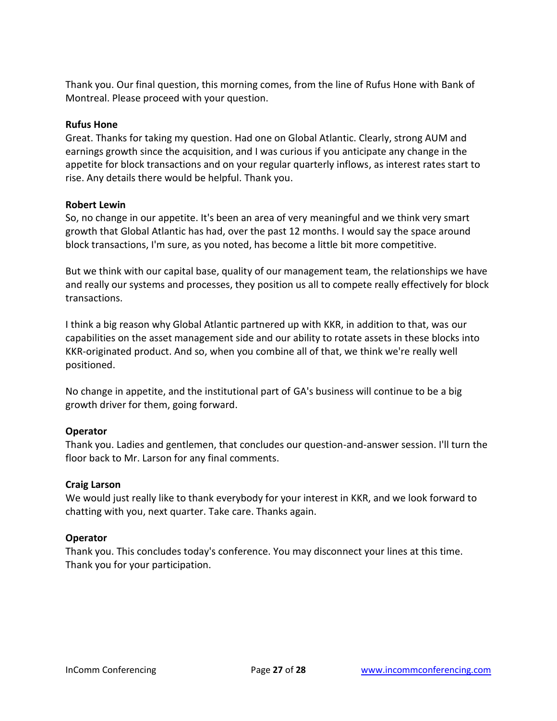Thank you. Our final question, this morning comes, from the line of Rufus Hone with Bank of Montreal. Please proceed with your question.

## **Rufus Hone**

Great. Thanks for taking my question. Had one on Global Atlantic. Clearly, strong AUM and earnings growth since the acquisition, and I was curious if you anticipate any change in the appetite for block transactions and on your regular quarterly inflows, as interest rates start to rise. Any details there would be helpful. Thank you.

## **Robert Lewin**

So, no change in our appetite. It's been an area of very meaningful and we think very smart growth that Global Atlantic has had, over the past 12 months. I would say the space around block transactions, I'm sure, as you noted, has become a little bit more competitive.

But we think with our capital base, quality of our management team, the relationships we have and really our systems and processes, they position us all to compete really effectively for block transactions.

I think a big reason why Global Atlantic partnered up with KKR, in addition to that, was our capabilities on the asset management side and our ability to rotate assets in these blocks into KKR-originated product. And so, when you combine all of that, we think we're really well positioned.

No change in appetite, and the institutional part of GA's business will continue to be a big growth driver for them, going forward.

# **Operator**

Thank you. Ladies and gentlemen, that concludes our question-and-answer session. I'll turn the floor back to Mr. Larson for any final comments.

# **Craig Larson**

We would just really like to thank everybody for your interest in KKR, and we look forward to chatting with you, next quarter. Take care. Thanks again.

# **Operator**

Thank you. This concludes today's conference. You may disconnect your lines at this time. Thank you for your participation.